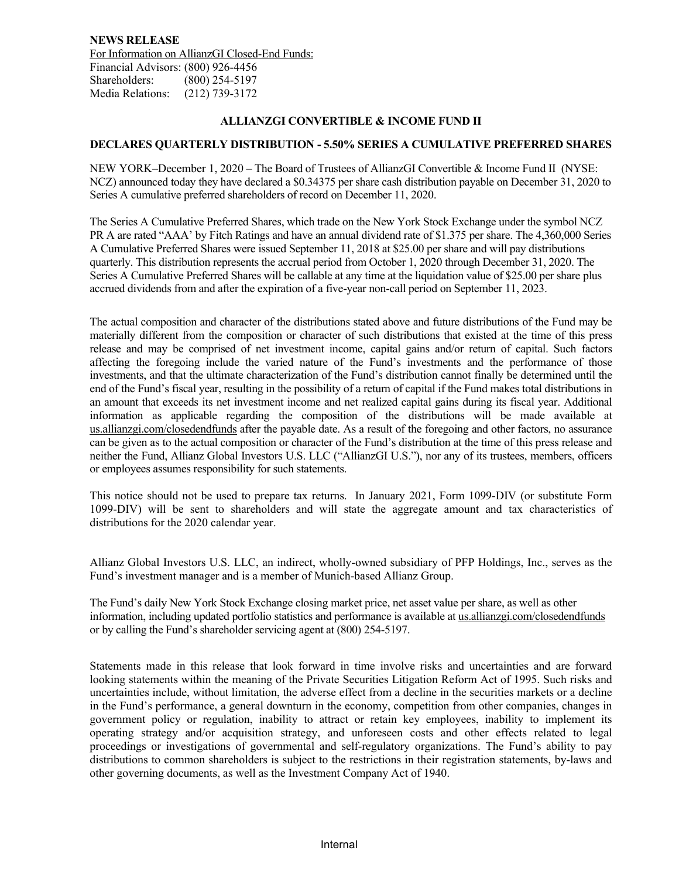## **NEWS RELEASE** For Information on AllianzGI Closed-End Funds: Financial Advisors: (800) 926-4456 Shareholders: (800) 254-5197

Media Relations: (212) 739-3172

## **ALLIANZGI CONVERTIBLE & INCOME FUND II**

## **DECLARES QUARTERLY DISTRIBUTION - 5.50% SERIES A CUMULATIVE PREFERRED SHARES**

NEW YORK–December 1, 2020 – The Board of Trustees of AllianzGI Convertible & Income Fund II (NYSE: NCZ) announced today they have declared a \$0.34375 per share cash distribution payable on December 31, 2020 to Series A cumulative preferred shareholders of record on December 11, 2020.

The Series A Cumulative Preferred Shares, which trade on the New York Stock Exchange under the symbol NCZ PR A are rated "AAA' by Fitch Ratings and have an annual dividend rate of \$1.375 per share. The 4,360,000 Series A Cumulative Preferred Shares were issued September 11, 2018 at \$25.00 per share and will pay distributions quarterly. This distribution represents the accrual period from October 1, 2020 through December 31, 2020. The Series A Cumulative Preferred Shares will be callable at any time at the liquidation value of \$25.00 per share plus accrued dividends from and after the expiration of a five-year non-call period on September 11, 2023.

The actual composition and character of the distributions stated above and future distributions of the Fund may be materially different from the composition or character of such distributions that existed at the time of this press release and may be comprised of net investment income, capital gains and/or return of capital. Such factors affecting the foregoing include the varied nature of the Fund's investments and the performance of those investments, and that the ultimate characterization of the Fund's distribution cannot finally be determined until the end of the Fund's fiscal year, resulting in the possibility of a return of capital if the Fund makes total distributions in an amount that exceeds its net investment income and net realized capital gains during its fiscal year. Additional information as applicable regarding the composition of the distributions will be made available at [us.allianzgi.com/closedendfunds](https://us.allianzgi.com/en-us/advisors/products-solutions/closed-end-funds?SearchWithFilter=false) after the payable date. As a result of the foregoing and other factors, no assurance can be given as to the actual composition or character of the Fund's distribution at the time of this press release and neither the Fund, Allianz Global Investors U.S. LLC ("AllianzGI U.S."), nor any of its trustees, members, officers or employees assumes responsibility for such statements.

This notice should not be used to prepare tax returns. In January 2021, Form 1099-DIV (or substitute Form 1099-DIV) will be sent to shareholders and will state the aggregate amount and tax characteristics of distributions for the 2020 calendar year.

Allianz Global Investors U.S. LLC, an indirect, wholly-owned subsidiary of PFP Holdings, Inc., serves as the Fund's investment manager and is a member of Munich-based Allianz Group.

The Fund's daily New York Stock Exchange closing market price, net asset value per share, as well as other information, including updated portfolio statistics and performance is available at us.allianzgi.co[m/closedendfunds](http://www.allianzinvestors.com/closedendfunds) or by calling the Fund's shareholder servicing agent at (800) 254-5197.

Statements made in this release that look forward in time involve risks and uncertainties and are forward looking statements within the meaning of the Private Securities Litigation Reform Act of 1995. Such risks and uncertainties include, without limitation, the adverse effect from a decline in the securities markets or a decline in the Fund's performance, a general downturn in the economy, competition from other companies, changes in government policy or regulation, inability to attract or retain key employees, inability to implement its operating strategy and/or acquisition strategy, and unforeseen costs and other effects related to legal proceedings or investigations of governmental and self-regulatory organizations. The Fund's ability to pay distributions to common shareholders is subject to the restrictions in their registration statements, by-laws and other governing documents, as well as the Investment Company Act of 1940.